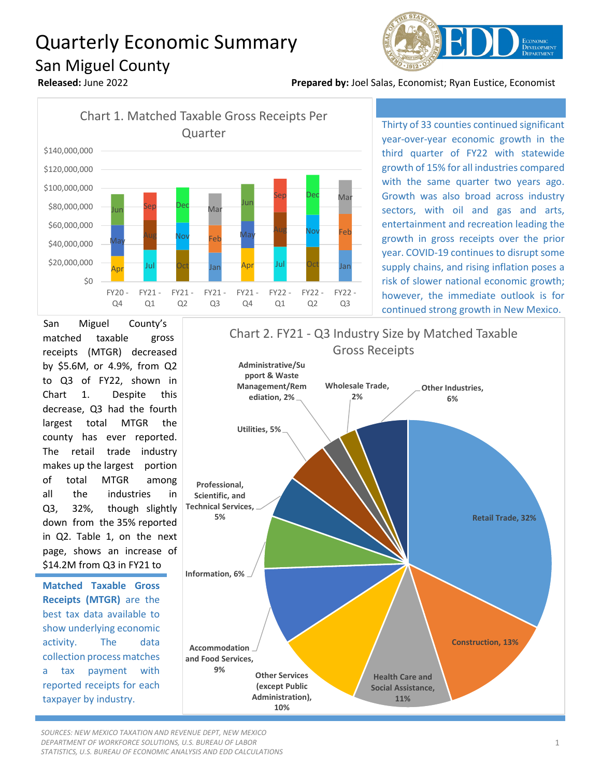## Quarterly Economic Summary San Miguel County



**Released:** June 2022 **Prepared by:** Joel Salas, Economist; Ryan Eustice, Economist



Thirty of 33 counties continued significant year-over-year economic growth in the third quarter of FY22 with statewide growth of 15% for all industries compared with the same quarter two years ago. Growth was also broad across industry sectors, with oil and gas and arts, entertainment and recreation leading the growth in gross receipts over the prior year. COVID-19 continues to disrupt some supply chains, and rising inflation poses a risk of slower national economic growth; however, the immediate outlook is for continued strong growth in New Mexico.

San Miguel County's matched taxable gross receipts (MTGR) decreased by \$5.6M, or 4.9%, from Q2 to Q3 of FY22, shown in Chart 1. Despite this decrease, Q3 had the fourth largest total MTGR the county has ever reported. The retail trade industry makes up the largest portion of total MTGR among all the industries in Q3, 32%, though slightly down from the 35% reported in Q2. Table 1, on the next page, shows an increase of \$14.2M from Q3 in FY21 to

**Matched Taxable Gross Receipts (MTGR)** are the best tax data available to show underlying economic activity. The data collection process matches a tax payment with reported receipts for each taxpayer by industry.



*SOURCES: NEW MEXICO TAXATION AND REVENUE DEPT, NEW MEXICO DEPARTMENT OF WORKFORCE SOLUTIONS, U.S. BUREAU OF LABOR STATISTICS, U.S. BUREAU OF ECONOMIC ANALYSIS AND EDD CALCULATIONS*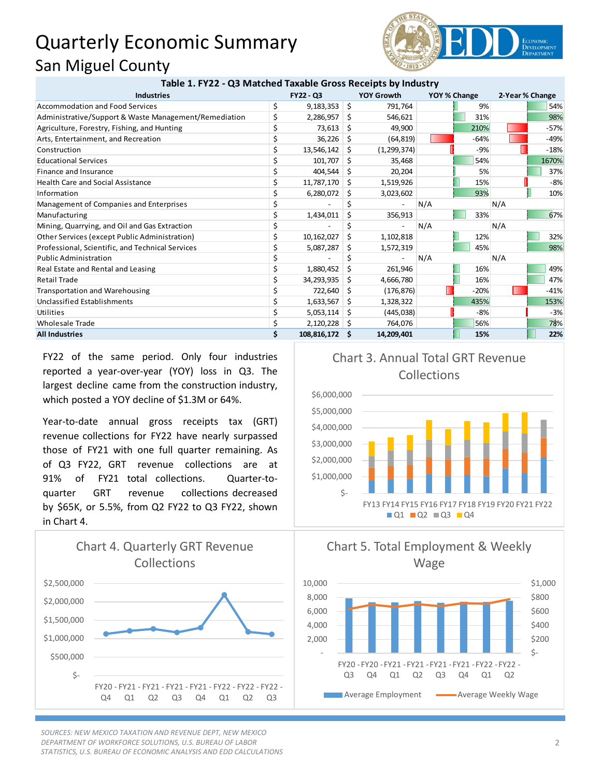## Quarterly Economic Summary San Miguel County



| Table 1. FTZZ - QS Matched Taxable Gross Receipts by Industry |                  |             |                   |               |              |        |                 |        |
|---------------------------------------------------------------|------------------|-------------|-------------------|---------------|--------------|--------|-----------------|--------|
| <b>Industries</b>                                             | <b>FY22 - Q3</b> |             | <b>YOY Growth</b> |               | YOY % Change |        | 2-Year % Change |        |
| Accommodation and Food Services                               | \$               | 9,183,353   | Ŝ.                | 791,764       |              | 9%     |                 | 54%    |
| Administrative/Support & Waste Management/Remediation         |                  | 2,286,957   | S                 | 546,621       |              | 31%    |                 | 98%    |
| Agriculture, Forestry, Fishing, and Hunting                   |                  | 73,613      | S                 | 49,900        |              | 210%   |                 | $-57%$ |
| Arts, Entertainment, and Recreation                           |                  | 36,226      | S                 | (64, 819)     |              | $-64%$ |                 | $-49%$ |
| Construction                                                  |                  | 13,546,142  | S                 | (1, 299, 374) |              | -9%    |                 | $-18%$ |
| <b>Educational Services</b>                                   |                  | 101,707     | S                 | 35,468        |              | 54%    |                 | 1670%  |
| Finance and Insurance                                         |                  | 404,544     | S                 | 20,204        |              | 5%     |                 | 37%    |
| <b>Health Care and Social Assistance</b>                      | Ś                | 11,787,170  | S                 | 1,519,926     |              | 15%    |                 | $-8%$  |
| Information                                                   |                  | 6,280,072   | S                 | 3,023,602     |              | 93%    |                 | 10%    |
| Management of Companies and Enterprises                       |                  |             |                   |               | N/A          |        | N/A             |        |
| Manufacturing                                                 |                  | 1,434,011   | S                 | 356,913       |              | 33%    |                 | 67%    |
| Mining, Quarrying, and Oil and Gas Extraction                 |                  |             |                   |               | N/A          |        | N/A             |        |
| Other Services (except Public Administration)                 |                  | 10,162,027  | Ŝ                 | 1,102,818     |              | 12%    |                 | 32%    |
| Professional, Scientific, and Technical Services              |                  | 5,087,287   | S                 | 1,572,319     |              | 45%    |                 | 98%    |
| <b>Public Administration</b>                                  |                  |             |                   |               | N/A          |        | N/A             |        |
| Real Estate and Rental and Leasing                            | \$               | 1,880,452   | Ŝ                 | 261,946       |              | 16%    |                 | 49%    |
| <b>Retail Trade</b>                                           |                  | 34,293,935  | S                 | 4,666,780     |              | 16%    |                 | 47%    |
| <b>Transportation and Warehousing</b>                         |                  | 722,640     | S                 | (176, 876)    |              | $-20%$ |                 | $-41%$ |
| <b>Unclassified Establishments</b>                            |                  | 1,633,567   | S                 | 1,328,322     |              | 435%   |                 | 153%   |
| Utilities                                                     |                  | 5,053,114   | S                 | (445, 038)    |              | $-8%$  |                 | $-3%$  |
| <b>Wholesale Trade</b>                                        |                  | 2,120,228   | -S                | 764,076       |              | 56%    |                 | 78%    |
| <b>All Industries</b>                                         | \$               | 108,816,172 | .s                | 14,209,401    |              | 15%    |                 | 22%    |

**Table 1. FY22 - Q3 Matched Taxable Gross Receipts by Industry**

FY22 of the same period. Only four industries reported a year-over-year (YOY) loss in Q3. The largest decline came from the construction industry, which posted a YOY decline of \$1.3M or 64%.

Year-to-date annual gross receipts tax (GRT) revenue collections for FY22 have nearly surpassed those of FY21 with one full quarter remaining. As of Q3 FY22, GRT revenue collections are at 91% of FY21 total collections. Quarter-toquarter GRT revenue collections decreased by \$65K, or 5.5%, from Q2 FY22 to Q3 FY22, shown in Chart 4.



*SOURCES: NEW MEXICO TAXATION AND REVENUE DEPT, NEW MEXICO DEPARTMENT OF WORKFORCE SOLUTIONS, U.S. BUREAU OF LABOR STATISTICS, U.S. BUREAU OF ECONOMIC ANALYSIS AND EDD CALCULATIONS*